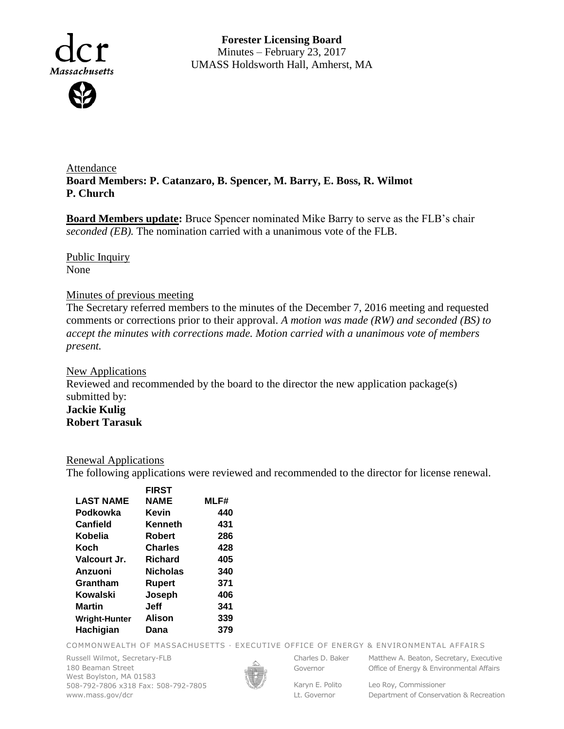

**Forester Licensing Board**  Minutes – February 23, 2017 UMASS Holdsworth Hall, Amherst, MA

Attendance **Board Members: P. Catanzaro, B. Spencer, M. Barry, E. Boss, R. Wilmot P. Church**

**Board Members update:** Bruce Spencer nominated Mike Barry to serve as the FLB's chair *seconded (EB).* The nomination carried with a unanimous vote of the FLB.

Public Inquiry None

## Minutes of previous meeting

The Secretary referred members to the minutes of the December 7, 2016 meeting and requested comments or corrections prior to their approval. *A motion was made (RW) and seconded (BS) to accept the minutes with corrections made. Motion carried with a unanimous vote of members present.*

New Applications Reviewed and recommended by the board to the director the new application package(s) submitted by: **Jackie Kulig Robert Tarasuk**

## Renewal Applications

The following applications were reviewed and recommended to the director for license renewal.

|                      | <b>FIRST</b>   |      |
|----------------------|----------------|------|
| <b>LAST NAME</b>     | NAME           | MLF# |
| Podkowka             | <b>Kevin</b>   | 440  |
| Canfield             | Kenneth        | 431  |
| Kobelia              | Robert         | 286  |
| Koch                 | <b>Charles</b> | 428  |
| Valcourt Jr.         | <b>Richard</b> | 405  |
| Anzuoni              | Nicholas       | 340  |
| Grantham             | Rupert         | 371  |
| Kowalski             | Joseph         | 406  |
| <b>Martin</b>        | Jeff           | 341  |
| <b>Wright-Hunter</b> | Alison         | 339  |
| Hachigian            | Dana           | 379  |
|                      |                |      |

COMMONWEALTH OF MASSACHUSETTS · EXECUTIVE OFFICE OF ENERGY & ENVIRONMENTAL AFFAIRS

Russell Wilmot, Secretary-FLB 180 Beaman Street West Boylston, MA 01583 508-792-7806 x318 Fax: 508-792-7805 www.mass.gov/dcr



Governor

Karyn E. Polito Lt. Governor

Charles D. Baker Matthew A. Beaton, Secretary, Executive Office of Energy & Environmental Affairs

> Leo Roy, Commissioner Department of Conservation & Recreation